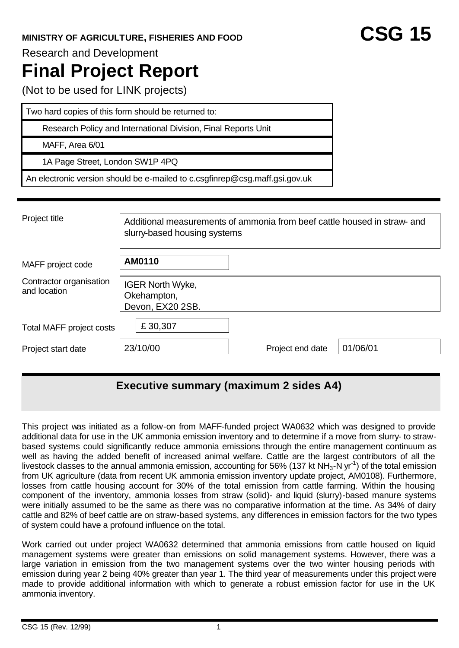Research and Development

# **Final Project Report**

(Not to be used for LINK projects)

Two hard copies of this form should be returned to:

Research Policy and International Division, Final Reports Unit

MAFF, Area 6/01

1A Page Street, London SW1P 4PQ

An electronic version should be e-mailed to c.csgfinrep@csg.maff.gsi.gov.uk

| Project title                           | Additional measurements of ammonia from beef cattle housed in straw- and<br>slurry-based housing systems |                  |          |  |  |  |
|-----------------------------------------|----------------------------------------------------------------------------------------------------------|------------------|----------|--|--|--|
| MAFF project code                       | AM0110                                                                                                   |                  |          |  |  |  |
| Contractor organisation<br>and location | <b>IGER North Wyke,</b><br>Okehampton,<br>Devon, EX20 2SB.                                               |                  |          |  |  |  |
| <b>Total MAFF project costs</b>         | £30,307                                                                                                  |                  |          |  |  |  |
| Project start date                      | 23/10/00                                                                                                 | Project end date | 01/06/01 |  |  |  |

# **Executive summary (maximum 2 sides A4)**

This project was initiated as a follow-on from MAFF-funded project WA0632 which was designed to provide additional data for use in the UK ammonia emission inventory and to determine if a move from slurry- to strawbased systems could significantly reduce ammonia emissions through the entire management continuum as well as having the added benefit of increased animal welfare. Cattle are the largest contributors of all the livestock classes to the annual ammonia emission, accounting for 56% (137 kt NH<sub>3</sub>-N yr<sup>-1</sup>) of the total emission from UK agriculture (data from recent UK ammonia emission inventory update project, AM0108). Furthermore, losses from cattle housing account for 30% of the total emission from cattle farming. Within the housing component of the inventory, ammonia losses from straw (solid)- and liquid (slurry)-based manure systems were initially assumed to be the same as there was no comparative information at the time. As 34% of dairy cattle and 82% of beef cattle are on straw-based systems, any differences in emission factors for the two types of system could have a profound influence on the total.

Work carried out under project WA0632 determined that ammonia emissions from cattle housed on liquid management systems were greater than emissions on solid management systems. However, there was a large variation in emission from the two management systems over the two winter housing periods with emission during year 2 being 40% greater than year 1. The third year of measurements under this project were made to provide additional information with which to generate a robust emission factor for use in the UK ammonia inventory.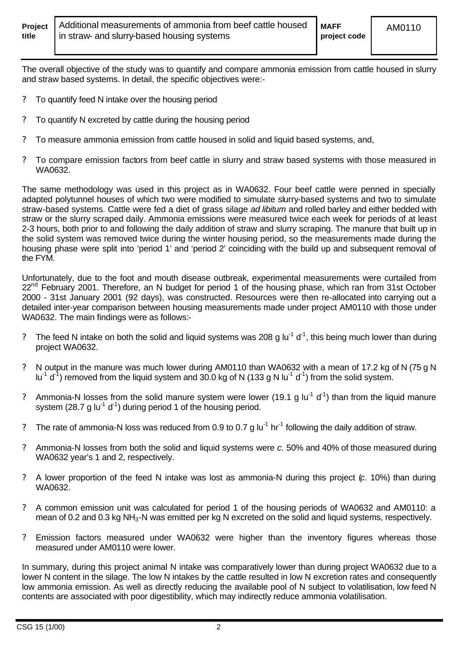The overall objective of the study was to quantify and compare ammonia emission from cattle housed in slurry and straw based systems. In detail, the specific objectives were:-

- ? To quantify feed N intake over the housing period
- ? To quantify N excreted by cattle during the housing period
- ? To measure ammonia emission from cattle housed in solid and liquid based systems, and,
- ? To compare emission factors from beef cattle in slurry and straw based systems with those measured in WA0632.

The same methodology was used in this project as in WA0632. Four beef cattle were penned in specially adapted polytunnel houses of which two were modified to simulate slurry-based systems and two to simulate straw-based systems. Cattle were fed a diet of grass silage *ad libitum* and rolled barley and either bedded with straw or the slurry scraped daily. Ammonia emissions were measured twice each week for periods of at least 2-3 hours, both prior to and following the daily addition of straw and slurry scraping. The manure that built up in the solid system was removed twice during the winter housing period, so the measurements made during the housing phase were split into 'period 1' and 'period 2' coinciding with the build up and subsequent removal of the FYM.

Unfortunately, due to the foot and mouth disease outbreak, experimental measurements were curtailed from 22<sup>nd</sup> February 2001. Therefore, an N budget for period 1 of the housing phase, which ran from 31st October 2000 - 31st January 2001 (92 days), was constructed. Resources were then re-allocated into carrying out a detailed inter-year comparison between housing measurements made under project AM0110 with those under WA0632. The main findings were as follows:-

- ? The feed N intake on both the solid and liquid systems was 208 g lu<sup>-1</sup> d<sup>-1</sup>, this being much lower than during project WA0632.
- ? N output in the manure was much lower during AM0110 than WA0632 with a mean of 17.2 kg of N (75 g N lu<sup>-1</sup> d<sup>-1</sup>) removed from the liquid system and 30.0 kg of N (133 g N lu<sup>-1</sup> d<sup>-1</sup>) from the solid system.
- ? Ammonia-N losses from the solid manure system were lower (19.1 g lu<sup>-1</sup> d<sup>-1</sup>) than from the liquid manure system (28.7 g lu<sup>-1</sup> d<sup>-1</sup>) during period 1 of the housing period.
- ? The rate of ammonia-N loss was reduced from 0.9 to 0.7 g  $I\text{u}^{-1}$  hr<sup>-1</sup> following the daily addition of straw.
- ? Ammonia-N losses from both the solid and liquid systems were *c.* 50% and 40% of those measured during WA0632 year's 1 and 2, respectively.
- ? A lower proportion of the feed N intake was lost as ammonia-N during this project (*c.* 10%) than during WA0632.
- ? A common emission unit was calculated for period 1 of the housing periods of WA0632 and AM0110: a mean of 0.2 and 0.3 kg NH<sub>3</sub>-N was emitted per kg N excreted on the solid and liquid systems, respectively.
- ? Emission factors measured under WA0632 were higher than the inventory figures whereas those measured under AM0110 were lower.

In summary, during this project animal N intake was comparatively lower than during project WA0632 due to a lower N content in the silage. The low N intakes by the cattle resulted in low N excretion rates and consequently low ammonia emission. As well as directly reducing the available pool of N subject to volatilisation, low feed N contents are associated with poor digestibility, which may indirectly reduce ammonia volatilisation.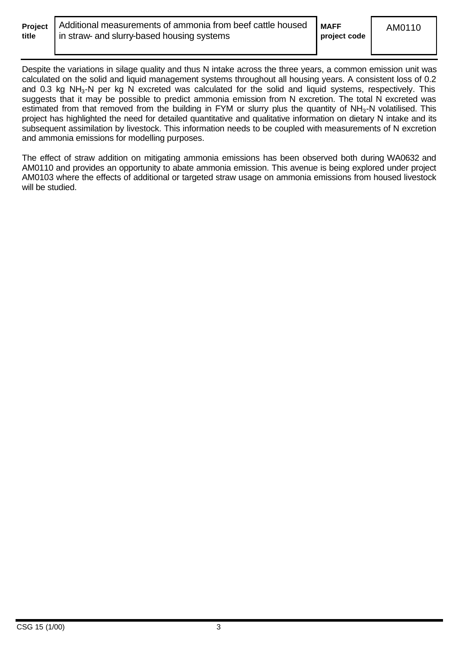| Projec |  |
|--------|--|
| title  |  |

Despite the variations in silage quality and thus N intake across the three years, a common emission unit was calculated on the solid and liquid management systems throughout all housing years. A consistent loss of 0.2 and 0.3 kg NH<sub>3</sub>-N per kg N excreted was calculated for the solid and liquid systems, respectively. This suggests that it may be possible to predict ammonia emission from N excretion. The total N excreted was estimated from that removed from the building in FYM or slurry plus the quantity of NH<sub>3</sub>-N volatilised. This project has highlighted the need for detailed quantitative and qualitative information on dietary N intake and its subsequent assimilation by livestock. This information needs to be coupled with measurements of N excretion and ammonia emissions for modelling purposes.

The effect of straw addition on mitigating ammonia emissions has been observed both during WA0632 and AM0110 and provides an opportunity to abate ammonia emission. This avenue is being explored under project AM0103 where the effects of additional or targeted straw usage on ammonia emissions from housed livestock will be studied.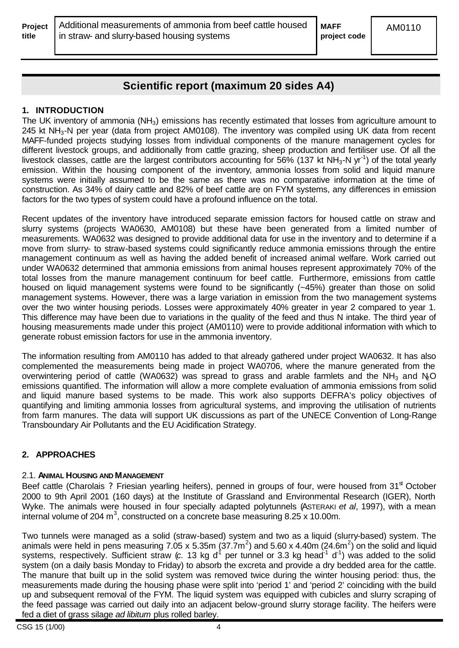**project code**

# **Scientific report (maximum 20 sides A4)**

# **1. INTRODUCTION**

The UK inventory of ammonia  $(NH_3)$  emissions has recently estimated that losses from agriculture amount to 245 kt NH<sub>3</sub>-N per year (data from project AM0108). The inventory was compiled using UK data from recent MAFF-funded projects studying losses from individual components of the manure management cycles for different livestock groups, and additionally from cattle grazing, sheep production and fertiliser use. Of all the livestock classes, cattle are the largest contributors accounting for 56% (137 kt NH<sub>3</sub>-N yr<sup>-1</sup>) of the total yearly emission. Within the housing component of the inventory, ammonia losses from solid and liquid manure systems were initially assumed to be the same as there was no comparative information at the time of construction. As 34% of dairy cattle and 82% of beef cattle are on FYM systems, any differences in emission factors for the two types of system could have a profound influence on the total.

Recent updates of the inventory have introduced separate emission factors for housed cattle on straw and slurry systems (projects WA0630, AM0108) but these have been generated from a limited number of measurements. WA0632 was designed to provide additional data for use in the inventory and to determine if a move from slurry- to straw-based systems could significantly reduce ammonia emissions through the entire management continuum as well as having the added benefit of increased animal welfare. Work carried out under WA0632 determined that ammonia emissions from animal houses represent approximately 70% of the total losses from the manure management continuum for beef cattle. Furthermore, emissions from cattle housed on liquid management systems were found to be significantly (~45%) greater than those on solid management systems. However, there was a large variation in emission from the two management systems over the two winter housing periods. Losses were approximately 40% greater in year 2 compared to year 1. This difference may have been due to variations in the quality of the feed and thus N intake. The third year of housing measurements made under this project (AM0110) were to provide additional information with which to generate robust emission factors for use in the ammonia inventory.

The information resulting from AM0110 has added to that already gathered under project WA0632. It has also complemented the measurements being made in project WA0706, where the manure generated from the overwintering period of cattle (WA0632) was spread to grass and arable farmlets and the NH<sub>3</sub> and N<sub>2</sub>O emissions quantified. The information will allow a more complete evaluation of ammonia emissions from solid and liquid manure based systems to be made. This work also supports DEFRA's policy objectives of quantifying and limiting ammonia losses from agricultural systems, and improving the utilisation of nutrients from farm manures. The data will support UK discussions as part of the UNECE Convention of Long-Range Transboundary Air Pollutants and the EU Acidification Strategy.

# **2. APPROACHES**

# 2.1. **ANIMAL HOUSING AND MANAGEMENT**

Beef cattle (Charolais ? Friesian yearling heifers), penned in groups of four, were housed from  $31<sup>st</sup>$  October 2000 to 9th April 2001 (160 days) at the Institute of Grassland and Environmental Research (IGER), North Wyke. The animals were housed in four specially adapted polytunnels (ASTERAKI *et al*, 1997), with a mean internal volume of 204 m<sup>3</sup>, constructed on a concrete base measuring 8.25 x 10.00m.

Two tunnels were managed as a solid (straw-based) system and two as a liquid (slurry-based) system. The animals were held in pens measuring 7.05 x 5.35m ( $37.7m^2$ ) and 5.60 x 4.40m (24.6m<sup>2</sup>) on the solid and liquid systems, respectively. Sufficient straw (c. 13 kg d<sup>1</sup> per tunnel or 3.3 kg head<sup>-1</sup> d<sup>-1</sup>) was added to the solid system (on a daily basis Monday to Friday) to absorb the excreta and provide a dry bedded area for the cattle. The manure that built up in the solid system was removed twice during the winter housing period: thus, the measurements made during the housing phase were split into 'period 1' and 'period 2' coinciding with the build up and subsequent removal of the FYM. The liquid system was equipped with cubicles and slurry scraping of the feed passage was carried out daily into an adjacent below-ground slurry storage facility. The heifers were fed a diet of grass silage *ad libitum* plus rolled barley.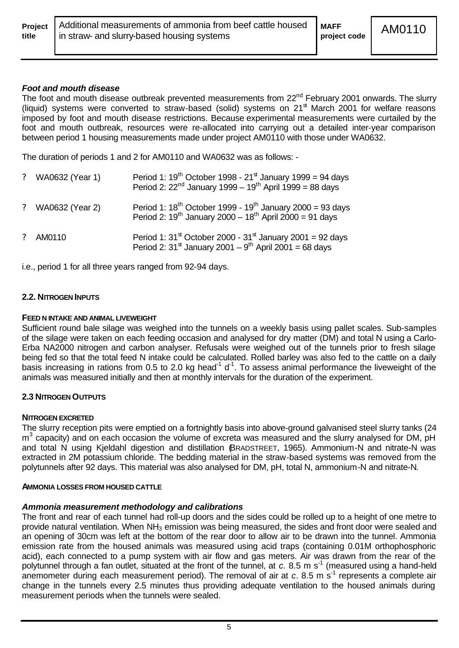|       | <b>Project</b>   Additional measurements of ammonia from beef cattle housed   MAFF |              | AM0110 |
|-------|------------------------------------------------------------------------------------|--------------|--------|
| title | I in straw- and slurry-based housing systems                                       | project code |        |

#### *Foot and mouth disease*

The foot and mouth disease outbreak prevented measurements from 22<sup>nd</sup> February 2001 onwards. The slurry (liquid) systems were converted to straw-based (solid) systems on  $21<sup>st</sup>$  March 2001 for welfare reasons imposed by foot and mouth disease restrictions. Because experimental measurements were curtailed by the foot and mouth outbreak, resources were re-allocated into carrying out a detailed inter-year comparison between period 1 housing measurements made under project AM0110 with those under WA0632.

The duration of periods 1 and 2 for AM0110 and WA0632 was as follows: -

|               | ? WA0632 (Year 1)      | Period 1: $19^{th}$ October 1998 - $21^{st}$ January 1999 = 94 days<br>Period 2: $22^{nd}$ January 1999 – 19 <sup>th</sup> April 1999 = 88 days                     |
|---------------|------------------------|---------------------------------------------------------------------------------------------------------------------------------------------------------------------|
| $\mathcal{P}$ | <b>WA0632 (Year 2)</b> | Period 1: $18^{th}$ October 1999 - $19^{th}$ January 2000 = 93 days<br>Period 2: $19^{th}$ January 2000 - $18^{th}$ April 2000 = 91 days                            |
|               | AM0110                 | Period 1: $31^{\text{st}}$ October 2000 - $31^{\text{st}}$ January 2001 = 92 days<br>Period 2: $31^{\text{st}}$ January 2001 – 9 <sup>th</sup> April 2001 = 68 days |

i.e., period 1 for all three years ranged from 92-94 days.

#### **2.2. NITROGEN INPUTS**

#### **FEED N INTAKE AND ANIMAL LIVEWEIGHT**

Sufficient round bale silage was weighed into the tunnels on a weekly basis using pallet scales. Sub-samples of the silage were taken on each feeding occasion and analysed for dry matter (DM) and total N using a Carlo-Erba NA2000 nitrogen and carbon analyser. Refusals were weighed out of the tunnels prior to fresh silage being fed so that the total feed N intake could be calculated. Rolled barley was also fed to the cattle on a daily basis increasing in rations from 0.5 to 2.0 kg head<sup>-1</sup> d<sup>-1</sup>. To assess animal performance the liveweight of the animals was measured initially and then at monthly intervals for the duration of the experiment.

#### **2.3 NITROGEN OUTPUTS**

#### **NITROGEN EXCRETED**

The slurry reception pits were emptied on a fortnightly basis into above-ground galvanised steel slurry tanks (24 m<sup>3</sup> capacity) and on each occasion the volume of excreta was measured and the slurry analysed for DM, pH and total N using Kieldahl digestion and distillation BRADSTREET, 1965). Ammonium-N and nitrate-N was extracted in 2M potassium chloride. The bedding material in the straw-based systems was removed from the polytunnels after 92 days. This material was also analysed for DM, pH, total N, ammonium-N and nitrate-N.

#### **AMMONIA LOSSES FROM HOUSED CATTLE**

#### *Ammonia measurement methodology and calibrations*

The front and rear of each tunnel had roll-up doors and the sides could be rolled up to a height of one metre to provide natural ventilation. When NH3 emission was being measured, the sides and front door were sealed and an opening of 30cm was left at the bottom of the rear door to allow air to be drawn into the tunnel. Ammonia emission rate from the housed animals was measured using acid traps (containing 0.01M orthophosphoric acid), each connected to a pump system with air flow and gas meters. Air was drawn from the rear of the polytunnel through a fan outlet, situated at the front of the tunnel, at *c.* 8.5 m s<sup>-1</sup> (measured using a hand-held anemometer during each measurement period). The removal of air at *c.* 8.5 m s<sup>-1</sup> represents a complete air change in the tunnels every 2.5 minutes thus providing adequate ventilation to the housed animals during measurement periods when the tunnels were sealed.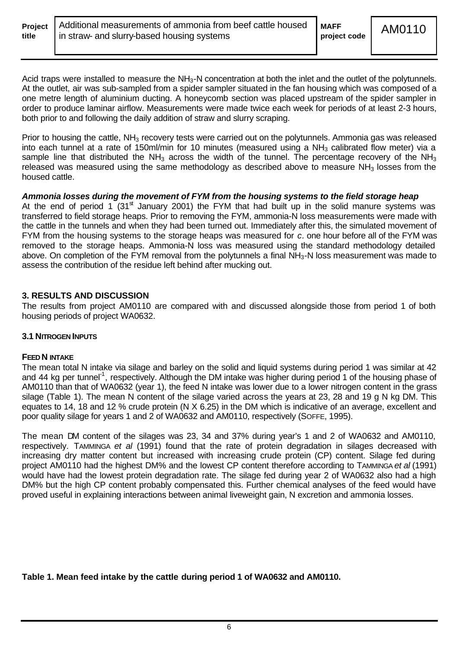| <b>Project</b> |  |
|----------------|--|
| title          |  |

Acid traps were installed to measure the NH<sub>3</sub>-N concentration at both the inlet and the outlet of the polytunnels. At the outlet, air was sub-sampled from a spider sampler situated in the fan housing which was composed of a one metre length of aluminium ducting. A honeycomb section was placed upstream of the spider sampler in order to produce laminar airflow. Measurements were made twice each week for periods of at least 2-3 hours, both prior to and following the daily addition of straw and slurry scraping.

Prior to housing the cattle,  $NH_3$  recovery tests were carried out on the polytunnels. Ammonia gas was released into each tunnel at a rate of 150ml/min for 10 minutes (measured using a  $NH<sub>3</sub>$  calibrated flow meter) via a sample line that distributed the NH<sub>3</sub> across the width of the tunnel. The percentage recovery of the NH<sub>3</sub> released was measured using the same methodology as described above to measure  $NH<sub>3</sub>$  losses from the housed cattle.

#### *Ammonia losses during the movement of FYM from the housing systems to the field storage heap*

At the end of period 1  $(31<sup>st</sup>$  January 2001) the FYM that had built up in the solid manure systems was transferred to field storage heaps. Prior to removing the FYM, ammonia-N loss measurements were made with the cattle in the tunnels and when they had been turned out. Immediately after this, the simulated movement of FYM from the housing systems to the storage heaps was measured for *c.* one hour before all of the FYM was removed to the storage heaps. Ammonia-N loss was measured using the standard methodology detailed above. On completion of the FYM removal from the polytunnels a final NH<sub>3</sub>-N loss measurement was made to assess the contribution of the residue left behind after mucking out.

## **3. RESULTS AND DISCUSSION**

The results from project AM0110 are compared with and discussed alongside those from period 1 of both housing periods of project WA0632.

#### **3.1 NITROGEN INPUTS**

#### **FEED N INTAKE**

The mean total N intake via silage and barley on the solid and liquid systems during period 1 was similar at 42 and 44 kg per tunnel<sup>-1</sup>, respectively. Although the DM intake was higher during period 1 of the housing phase of AM0110 than that of WA0632 (year 1), the feed N intake was lower due to a lower nitrogen content in the grass silage (Table 1). The mean N content of the silage varied across the years at 23, 28 and 19 g N kg DM. This equates to 14, 18 and 12 % crude protein (N X 6.25) in the DM which is indicative of an average, excellent and poor quality silage for years 1 and 2 of WA0632 and AM0110, respectively (SOFFE, 1995).

The mean DM content of the silages was 23, 34 and 37% during year's 1 and 2 of WA0632 and AM0110, respectively. TAMMINGA *et al* (1991) found that the rate of protein degradation in silages decreased with increasing dry matter content but increased with increasing crude protein (CP) content. Silage fed during project AM0110 had the highest DM% and the lowest CP content therefore according to TAMMINGA *et al* (1991) would have had the lowest protein degradation rate. The silage fed during year 2 of WA0632 also had a high DM% but the high CP content probably compensated this. Further chemical analyses of the feed would have proved useful in explaining interactions between animal liveweight gain, N excretion and ammonia losses.

**Table 1. Mean feed intake by the cattle during period 1 of WA0632 and AM0110.**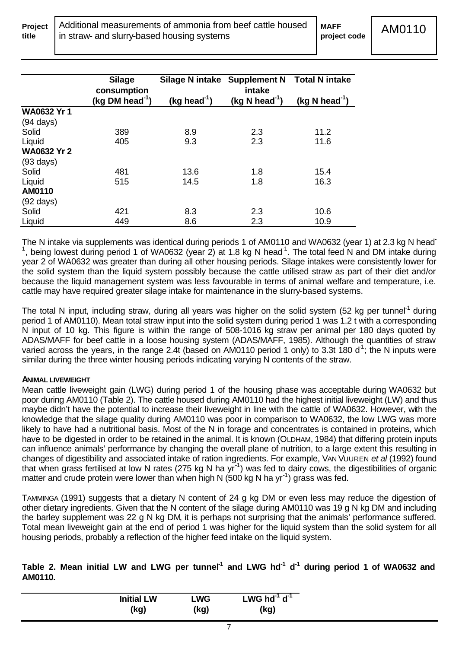|                     | <b>Silage</b>                              |               | Silage N intake Supplement N Total N intake |                            |
|---------------------|--------------------------------------------|---------------|---------------------------------------------|----------------------------|
|                     | consumption<br>(kg DM head <sup>-1</sup> ) | $(kg head-1)$ | intake<br>(kg N head <sup>-1</sup> )        | (kg N head <sup>-1</sup> ) |
| <b>WA0632 Yr 1</b>  |                                            |               |                                             |                            |
| $(94 \text{ days})$ |                                            |               |                                             |                            |
| Solid               | 389                                        | 8.9           | 2.3                                         | 11.2                       |
| Liquid              | 405                                        | 9.3           | 2.3                                         | 11.6                       |
| <b>WA0632 Yr 2</b>  |                                            |               |                                             |                            |
| $(93 \text{ days})$ |                                            |               |                                             |                            |
| Solid               | 481                                        | 13.6          | 1.8                                         | 15.4                       |
| Liquid              | 515                                        | 14.5          | 1.8                                         | 16.3                       |
| AM0110              |                                            |               |                                             |                            |
| $(92 \text{ days})$ |                                            |               |                                             |                            |
| Solid               | 421                                        | 8.3           | 2.3                                         | 10.6                       |
| Liquid              | 449                                        | 8.6           | 2.3                                         | 10.9                       |

The N intake via supplements was identical during periods 1 of AM0110 and WA0632 (year 1) at 2.3 kg N head<sup>-</sup> <sup>1</sup>, being lowest during period 1 of WA0632 (year 2) at 1.8 kg N head<sup>-1</sup>. The total feed N and DM intake during year 2 of WA0632 was greater than during all other housing periods. Silage intakes were consistently lower for the solid system than the liquid system possibly because the cattle utilised straw as part of their diet and/or because the liquid management system was less favourable in terms of animal welfare and temperature, i.e. cattle may have required greater silage intake for maintenance in the slurry-based systems.

The total N input, including straw, during all years was higher on the solid system (52 kg per tunnel<sup>-1</sup> during period 1 of AM0110). Mean total straw input into the solid system during period 1 was 1.2 t with a corresponding N input of 10 kg. This figure is within the range of 508-1016 kg straw per animal per 180 days quoted by ADAS/MAFF for beef cattle in a loose housing system (ADAS/MAFF, 1985). Although the quantities of straw varied across the years, in the range 2.4t (based on AM0110 period 1 only) to 3.3t 180 d<sup>1</sup>; the N inputs were similar during the three winter housing periods indicating varying N contents of the straw.

#### **ANIMAL LIVEWEIGHT**

Mean cattle liveweight gain (LWG) during period 1 of the housing phase was acceptable during WA0632 but poor during AM0110 (Table 2). The cattle housed during AM0110 had the highest initial liveweight (LW) and thus maybe didn't have the potential to increase their liveweight in line with the cattle of WA0632. However, with the knowledge that the silage quality during AM0110 was poor in comparison to WA0632, the low LWG was more likely to have had a nutritional basis. Most of the N in forage and concentrates is contained in proteins, which have to be digested in order to be retained in the animal. It is known (OLDHAM, 1984) that differing protein inputs can influence animals' performance by changing the overall plane of nutrition, to a large extent this resulting in changes of digestibility and associated intake of ration ingredients. For example, VAN VUUREN *et al* (1992) found that when grass fertilised at low N rates (275 kg N ha yr<sup>-1</sup>) was fed to dairy cows, the digestibilities of organic matter and crude protein were lower than when high N (500 kg N ha yr<sup>-1</sup>) grass was fed.

TAMMINGA (1991) suggests that a dietary N content of 24 g kg DM or even less may reduce the digestion of other dietary ingredients. Given that the N content of the silage during AM0110 was 19 g N kg DM and including the barley supplement was 22 g N kg DM, it is perhaps not surprising that the animals' performance suffered. Total mean liveweight gain at the end of period 1 was higher for the liquid system than the solid system for all housing periods, probably a reflection of the higher feed intake on the liquid system.

|         |  |  |  |  |  | Table 2. Mean initial LW and LWG per tunnel <sup>1</sup> and LWG hd <sup>-1</sup> d <sup>-1</sup> during period 1 of WA0632 and |  |  |
|---------|--|--|--|--|--|---------------------------------------------------------------------------------------------------------------------------------|--|--|
| AM0110. |  |  |  |  |  |                                                                                                                                 |  |  |

| <b>Initial LW</b> | <b>LWG</b> | LWG $hd^{-1} d^{-1}$ |
|-------------------|------------|----------------------|
| (kg)              | (kg)       | (kg)                 |
|                   |            |                      |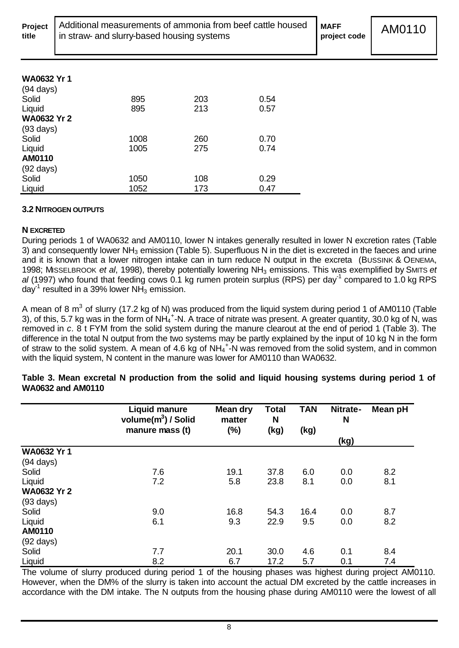|       | Project   Additional measurements of ammonia from beef cattle housed | <b>MAFF</b> |
|-------|----------------------------------------------------------------------|-------------|
| title | In straw- and slurry-based housing systems                           | project c   |

# **WA0632 Yr 1**

| 895  | 203 | 0.54 |
|------|-----|------|
| 895  | 213 | 0.57 |
|      |     |      |
|      |     |      |
| 1008 | 260 | 0.70 |
| 1005 | 275 | 0.74 |
|      |     |      |
|      |     |      |
| 1050 | 108 | 0.29 |
| 1052 | 173 | 0.47 |
|      |     |      |

# **3.2 NITROGEN OUTPUTS**

# **N EXCRETED**

During periods 1 of WA0632 and AM0110, lower N intakes generally resulted in lower N excretion rates (Table 3) and consequently lower NH<sub>3</sub> emission (Table 5). Superfluous N in the diet is excreted in the faeces and urine and it is known that a lower nitrogen intake can in turn reduce N output in the excreta (BUSSINK & OENEMA, 1998; MISSELBROOK *et al*, 1998), thereby potentially lowering NH3 emissions. This was exemplified by SMITS *et*  al (1997) who found that feeding cows 0.1 kg rumen protein surplus (RPS) per day<sup>-1</sup> compared to 1.0 kg RPS day<sup>-1</sup> resulted in a 39% lower NH<sub>3</sub> emission.

A mean of 8 m<sup>3</sup> of slurry (17.2 kg of N) was produced from the liquid system during period 1 of AM0110 (Table 3), of this, 5.7 kg was in the form of NH $_4^+$ -N. A trace of nitrate was present. A greater quantity, 30.0 kg of N, was removed in *c.* 8 t FYM from the solid system during the manure clearout at the end of period 1 (Table 3). The difference in the total N output from the two systems may be partly explained by the input of 10 kg N in the form of straw to the solid system. A mean of 4.6 kg of NH<sub>4</sub><sup>+</sup>-N was removed from the solid system, and in common with the liquid system. N content in the manure was lower for AM0110 than WA0632.

|                     | <b>Liquid manure</b><br>volume(m <sup>3</sup> ) / Solid | <b>Mean dry</b><br>matter | <b>Total</b><br>N | <b>TAN</b> | Nitrate-<br>N | Mean pH |
|---------------------|---------------------------------------------------------|---------------------------|-------------------|------------|---------------|---------|
|                     | manure mass (t)                                         | (%)                       | (kg)              | (kg)       | (kg)          |         |
| <b>WA0632 Yr 1</b>  |                                                         |                           |                   |            |               |         |
| $(94 \text{ days})$ |                                                         |                           |                   |            |               |         |
| Solid               | 7.6                                                     | 19.1                      | 37.8              | 6.0        | 0.0           | 8.2     |
| Liquid              | 7.2                                                     | 5.8                       | 23.8              | 8.1        | 0.0           | 8.1     |
| <b>WA0632 Yr 2</b>  |                                                         |                           |                   |            |               |         |
| $(93 \text{ days})$ |                                                         |                           |                   |            |               |         |
| Solid               | 9.0                                                     | 16.8                      | 54.3              | 16.4       | 0.0           | 8.7     |
| Liquid              | 6.1                                                     | 9.3                       | 22.9              | 9.5        | 0.0           | 8.2     |
| AM0110              |                                                         |                           |                   |            |               |         |
| $(92 \text{ days})$ |                                                         |                           |                   |            |               |         |
| Solid               | 7.7                                                     | 20.1                      | 30.0              | 4.6        | 0.1           | 8.4     |
| Liquid              | 8.2                                                     | 6.7                       | 17.2              | 5.7        | 0.1           | 7.4     |

**Table 3. Mean excretal N production from the solid and liquid housing systems during period 1 of WA0632 and AM0110**

The volume of slurry produced during period 1 of the housing phases was highest during project AM0110. However, when the DM% of the slurry is taken into account the actual DM excreted by the cattle increases in accordance with the DM intake. The N outputs from the housing phase during AM0110 were the lowest of all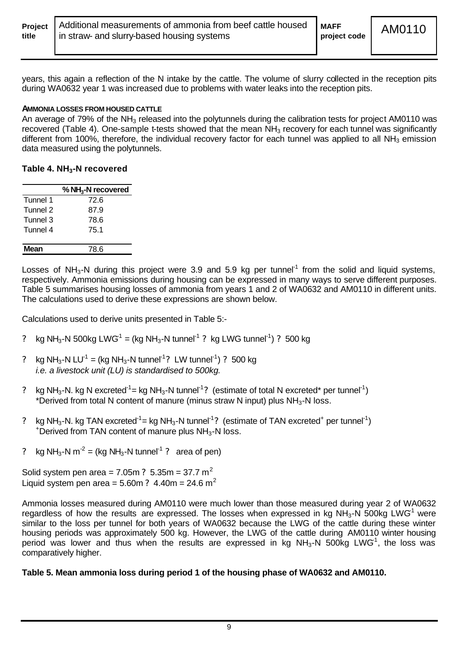| <b>Project</b>   Additional measurements of ammonia from beef cattle housed   MAFF<br>in straw- and slurry-based housing systems<br>project code<br>title | AM0110 |
|-----------------------------------------------------------------------------------------------------------------------------------------------------------|--------|
|-----------------------------------------------------------------------------------------------------------------------------------------------------------|--------|

years, this again a reflection of the N intake by the cattle. The volume of slurry collected in the reception pits during WA0632 year 1 was increased due to problems with water leaks into the reception pits.

#### **AMMONIA LOSSES FROM HOUSED CATTLE**

An average of 79% of the NH<sub>3</sub> released into the polytunnels during the calibration tests for project AM0110 was recovered (Table 4). One-sample t-tests showed that the mean NH<sub>3</sub> recovery for each tunnel was significantly different from 100%, therefore, the individual recovery factor for each tunnel was applied to all  $NH<sub>3</sub>$  emission data measured using the polytunnels.

#### **Table 4. NH3-N recovered**

|          | % $NH3$ -N recovered |
|----------|----------------------|
| Tunnel 1 | 72.6                 |
| Tunnel 2 | 87.9                 |
| Tunnel 3 | 78.6                 |
| Tunnel 4 | 75.1                 |
|          |                      |
| Mean     | 78.6                 |

Losses of NH<sub>3</sub>-N during this project were 3.9 and 5.9 kg per tunnel<sup>-1</sup> from the solid and liquid systems, respectively. Ammonia emissions during housing can be expressed in many ways to serve different purposes. Table 5 summarises housing losses of ammonia from years 1 and 2 of WA0632 and AM0110 in different units. The calculations used to derive these expressions are shown below.

Calculations used to derive units presented in Table 5:-

- ? kg NH<sub>3</sub>-N 500kg LWG<sup>1</sup> = (kg NH<sub>3</sub>-N tunnel<sup>-1</sup> ? kg LWG tunnel<sup>-1</sup>) ? 500 kg
- ? kg NH<sub>3</sub>-N LU<sup>-1</sup> = (kg NH<sub>3</sub>-N tunnel<sup>-1</sup>? LW tunnel<sup>-1</sup>) ? 500 kg *i.e. a livestock unit (LU) is standardised to 500kg.*
- ? kg NH<sub>3</sub>-N. kg N excreted<sup>-1</sup> = kg NH<sub>3</sub>-N tunnel<sup>-1</sup>? (estimate of total N excreted\* per tunnel<sup>-1</sup>) \*Derived from total N content of manure (minus straw N input) plus  $NH<sub>3</sub>$ -N loss.
- ? kg NH<sub>3</sub>-N. kg TAN excreted<sup>-1</sup> = kg NH<sub>3</sub>-N tunnel<sup>-1</sup>? (estimate of TAN excreted<sup>+</sup> per tunnel<sup>-1</sup>)  $+$ Derived from TAN content of manure plus NH<sub>3</sub>-N loss.
- ? kg NH<sub>3</sub>-N m<sup>-2</sup> = (kg NH<sub>3</sub>-N tunnel<sup>-1</sup> ? area of pen)

Solid system pen area =  $7.05m$  ?  $5.35m = 37.7 m<sup>2</sup>$ Liquid system pen area =  $5.60m$  ?  $4.40m = 24.6 m<sup>2</sup>$ 

Ammonia losses measured during AM0110 were much lower than those measured during year 2 of WA0632 regardless of how the results are expressed. The losses when expressed in kg NH<sub>3</sub>-N 500kg LWG<sup>1</sup> were similar to the loss per tunnel for both years of WA0632 because the LWG of the cattle during these winter housing periods was approximately 500 kg. However, the LWG of the cattle during AM0110 winter housing period was lower and thus when the results are expressed in kg NH<sub>3</sub>-N 500kg LWG<sup>1</sup>, the loss was comparatively higher.

#### **Table 5. Mean ammonia loss during period 1 of the housing phase of WA0632 and AM0110.**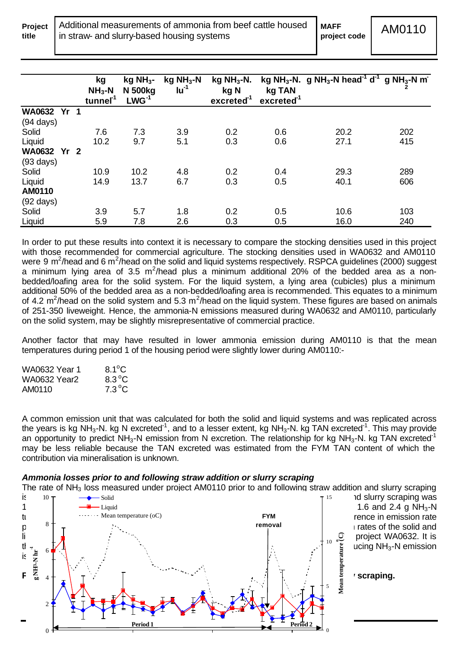**Project**

**title**

|                     |                 | kg<br>$NH3-N$<br>tunnel <sup>1</sup> | $kg$ NH <sub>3</sub> -<br><b>N</b> 500kg<br>$LWG-1$ | $kg NH3-N$<br>$Iu^{-1}$ | $kg NH3-N.$<br>kg N<br>excreted <sup>-1</sup> | kg TAN<br>excreted <sup>-1</sup> | kg NH <sub>3</sub> -N. g NH <sub>3</sub> -N head <sup>-1</sup> d <sup>-1</sup> g NH <sub>3</sub> -N m <sup>-</sup> |     |
|---------------------|-----------------|--------------------------------------|-----------------------------------------------------|-------------------------|-----------------------------------------------|----------------------------------|--------------------------------------------------------------------------------------------------------------------|-----|
| <b>WA0632</b>       | Yr <sub>1</sub> |                                      |                                                     |                         |                                               |                                  |                                                                                                                    |     |
| $(94 \text{ days})$ |                 |                                      |                                                     |                         |                                               |                                  |                                                                                                                    |     |
| Solid               |                 | 7.6                                  | 7.3                                                 | 3.9                     | 0.2                                           | 0.6                              | 20.2                                                                                                               | 202 |
| Liquid              |                 | 10.2                                 | 9.7                                                 | 5.1                     | 0.3                                           | 0.6                              | 27.1                                                                                                               | 415 |
| WA0632 Yr 2         |                 |                                      |                                                     |                         |                                               |                                  |                                                                                                                    |     |
| $(93 \text{ days})$ |                 |                                      |                                                     |                         |                                               |                                  |                                                                                                                    |     |
| Solid               |                 | 10.9                                 | 10.2                                                | 4.8                     | 0.2                                           | 0.4                              | 29.3                                                                                                               | 289 |
| Liquid              |                 | 14.9                                 | 13.7                                                | 6.7                     | 0.3                                           | 0.5                              | 40.1                                                                                                               | 606 |
| AM0110              |                 |                                      |                                                     |                         |                                               |                                  |                                                                                                                    |     |
| $(92 \text{ days})$ |                 |                                      |                                                     |                         |                                               |                                  |                                                                                                                    |     |
| Solid               |                 | 3.9                                  | 5.7                                                 | 1.8                     | 0.2                                           | 0.5                              | 10.6                                                                                                               | 103 |
| Liquid              |                 | 5.9                                  | 7.8                                                 | 2.6                     | 0.3                                           | 0.5                              | 16.0                                                                                                               | 240 |

In order to put these results into context it is necessary to compare the stocking densities used in this project with those recommended for commercial agriculture. The stocking densities used in WA0632 and AM0110 were 9 m<sup>2</sup>/head and 6 m<sup>2</sup>/head on the solid and liquid systems respectively. RSPCA guidelines (2000) suggest a minimum lying area of 3.5 m<sup>2</sup>/head plus a minimum additional 20% of the bedded area as a nonbedded/loafing area for the solid system. For the liquid system, a lying area (cubicles) plus a minimum additional 50% of the bedded area as a non-bedded/loafing area is recommended. This equates to a minimum of 4.2 m<sup>2</sup>/head on the solid system and 5.3 m<sup>2</sup>/head on the liquid system. These figures are based on animals of 251-350 liveweight. Hence, the ammonia-N emissions measured during WA0632 and AM0110, particularly on the solid system, may be slightly misrepresentative of commercial practice.

Another factor that may have resulted in lower ammonia emission during AM0110 is that the mean temperatures during period 1 of the housing period were slightly lower during AM0110:-

| WA0632 Year 1       | $8.1^{\circ}$ C |
|---------------------|-----------------|
| <b>WA0632 Year2</b> | $8.3^{\circ}$ C |
| AM0110              | $7.3^{\circ}$ C |

A common emission unit that was calculated for both the solid and liquid systems and was replicated across the years is kg NH<sub>3</sub>-N. kg N excreted<sup>-1</sup>, and to a lesser extent, kg NH<sub>3</sub>-N. kg TAN excreted<sup>-1</sup>. This may provide an opportunity to predict  $NH<sub>3</sub>$ -N emission from N excretion. The relationship for kg NH<sub>3</sub>-N. kg TAN excreted<sup>-1</sup> may be less reliable because the TAN excreted was estimated from the FYM TAN content of which the contribution via mineralisation is unknown.

#### *Ammonia losses prior to and following straw addition or slurry scraping*

The rate of NH<sub>3</sub> loss measured under project AM0110 prior to and following straw addition and slurry scraping



1.6 and 2.4 g NH<sub>3</sub>-N rence in emission rate

*<u>scraping</u>*.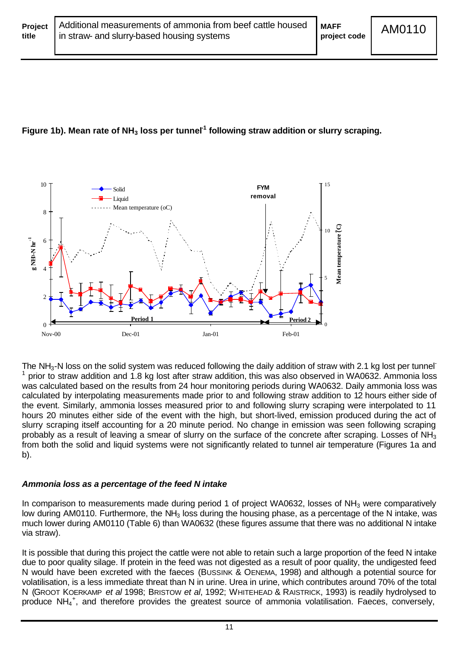# **Figure 1b). Mean rate of NH3 loss per tunnel-1 following straw addition or slurry scraping.**



The NH<sub>3</sub>-N loss on the solid system was reduced following the daily addition of straw with 2.1 kg lost per tunnel<sup>-</sup> 1 prior to straw addition and 1.8 kg lost after straw addition, this was also observed in WA0632. Ammonia loss was calculated based on the results from 24 hour monitoring periods during WA0632. Daily ammonia loss was calculated by interpolating measurements made prior to and following straw addition to 12 hours either side of the event. Similarly, ammonia losses measured prior to and following slurry scraping were interpolated to 11 hours 20 minutes either side of the event with the high, but short-lived, emission produced during the act of slurry scraping itself accounting for a 20 minute period. No change in emission was seen following scraping probably as a result of leaving a smear of slurry on the surface of the concrete after scraping. Losses of NH<sub>3</sub> from both the solid and liquid systems were not significantly related to tunnel air temperature (Figures 1a and b).

#### *Ammonia loss as a percentage of the feed N intake*

In comparison to measurements made during period 1 of project WA0632, losses of NH<sub>3</sub> were comparatively low during AM0110. Furthermore, the NH<sub>3</sub> loss during the housing phase, as a percentage of the N intake, was much lower during AM0110 (Table 6) than WA0632 (these figures assume that there was no additional N intake via straw).

It is possible that during this project the cattle were not able to retain such a large proportion of the feed N intake due to poor quality silage. If protein in the feed was not digested as a result of poor quality, the undigested feed N would have been excreted with the faeces (BUSSINK & OENEMA, 1998) and although a potential source for volatilisation, is a less immediate threat than N in urine. Urea in urine, which contributes around 70% of the total N (GROOT KOERKAMP *et al* 1998; BRISTOW *et al*, 1992; WHITEHEAD & RAISTRICK, 1993) is readily hydrolysed to produce NH<sub>4</sub><sup>+</sup>, and therefore provides the greatest source of ammonia volatilisation. Faeces, conversely,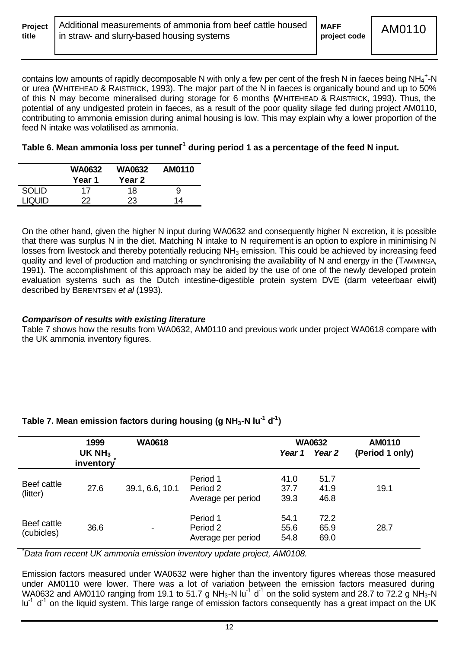| title | <b>Project</b>   Additional measurements of ammonia from beef cattle housed   MAFF<br>In straw- and slurry-based housing systems | project code | AM0110 |
|-------|----------------------------------------------------------------------------------------------------------------------------------|--------------|--------|
|       |                                                                                                                                  |              |        |

contains low amounts of rapidly decomposable N with only a few per cent of the fresh N in faeces being NH<sub>4</sub><sup>+</sup>-N or urea (WHITEHEAD & RAISTRICK, 1993). The major part of the N in faeces is organically bound and up to 50% of this N may become mineralised during storage for 6 months (WHITEHEAD & RAISTRICK, 1993). Thus, the potential of any undigested protein in faeces, as a result of the poor quality silage fed during project AM0110, contributing to ammonia emission during animal housing is low. This may explain why a lower proportion of the feed N intake was volatilised as ammonia.

# Table 6. Mean ammonia loss per tunnel<sup>1</sup> during period 1 as a percentage of the feed N input.

|               | <b>WA0632</b><br>Year 1 | <b>WA0632</b><br>Year 2 | AM0110 |
|---------------|-------------------------|-------------------------|--------|
| SOI ID        | 17                      | 18                      | 9      |
| <b>LIQUID</b> | 22.                     | 23                      | 14     |

On the other hand, given the higher N input during WA0632 and consequently higher N excretion, it is possible that there was surplus N in the diet. Matching N intake to N requirement is an option to explore in minimising N losses from livestock and thereby potentially reducing NH<sub>3</sub> emission. This could be achieved by increasing feed quality and level of production and matching or synchronising the availability of N and energy in the (TAMMINGA, 1991). The accomplishment of this approach may be aided by the use of one of the newly developed protein evaluation systems such as the Dutch intestine-digestible protein system DVE (darm veteerbaar eiwit) described by BERENTSEN *et al* (1993).

## *Comparison of results with existing literature*

Table 7 shows how the results from WA0632, AM0110 and previous work under project WA0618 compare with the UK ammonia inventory figures.

# **Table 7. Mean emission factors during housing (g NH3-N lu-1 d-1 )**

|                           | 1999<br>UK $NH3$ | <b>WA0618</b>   |                                            | Year 1               | <b>WA0632</b><br>Year <sub>2</sub> | AM0110<br>(Period 1 only) |
|---------------------------|------------------|-----------------|--------------------------------------------|----------------------|------------------------------------|---------------------------|
|                           | inventory        |                 |                                            |                      |                                    |                           |
| Beef cattle<br>(litter)   | 27.6             | 39.1, 6.6, 10.1 | Period 1<br>Period 2<br>Average per period | 41.0<br>37.7<br>39.3 | 51.7<br>41.9<br>46.8               | 19.1                      |
| Beef cattle<br>(cubicles) | 36.6             |                 | Period 1<br>Period 2<br>Average per period | 54.1<br>55.6<br>54.8 | 72.2<br>65.9<br>69.0               | 28.7                      |

*\*Data from recent UK ammonia emission inventory update project, AM0108.*

Emission factors measured under WA0632 were higher than the inventory figures whereas those measured under AM0110 were lower. There was a lot of variation between the emission factors measured during WA0632 and AM0110 ranging from 19.1 to 51.7 g NH<sub>3</sub>-N lu<sup>-1</sup> d<sup>-1</sup> on the solid system and 28.7 to 72.2 g NH<sub>3</sub>-N lu<sup>-1</sup> d<sup>-1</sup> on the liquid system. This large range of emission factors consequently has a great impact on the UK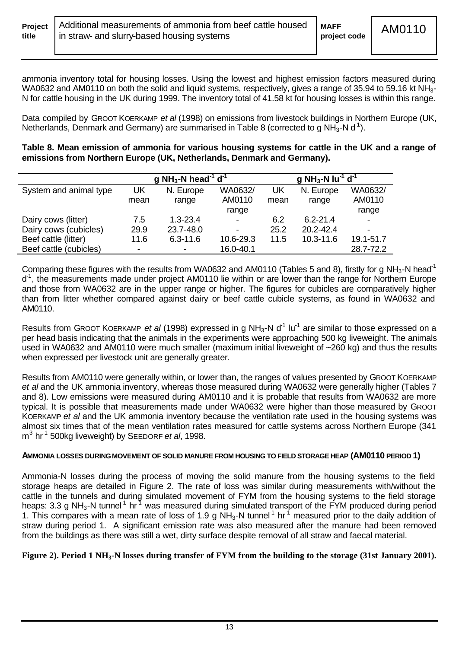ammonia inventory total for housing losses. Using the lowest and highest emission factors measured during WA0632 and AM0110 on both the solid and liquid systems, respectively, gives a range of 35.94 to 59.16 kt NH<sub>3</sub>-N for cattle housing in the UK during 1999. The inventory total of 41.58 kt for housing losses is within this range.

Data compiled by GROOT KOERKAMP *et al* (1998) on emissions from livestock buildings in Northern Europe (UK, Netherlands, Denmark and Germany) are summarised in Table 8 (corrected to g NH<sub>3</sub>-N d<sup>-1</sup>).

**Table 8. Mean emission of ammonia for various housing systems for cattle in the UK and a range of emissions from Northern Europe (UK, Netherlands, Denmark and Germany).**

|                        |      | g NH <sub>3</sub> -N head <sup>-1</sup> d <sup>-1</sup> |                          | g NH <sub>3</sub> -N lu <sup>-1</sup> d <sup>-1</sup> |               |                |
|------------------------|------|---------------------------------------------------------|--------------------------|-------------------------------------------------------|---------------|----------------|
| System and animal type | UK   | N. Europe                                               | WA0632/                  | UK                                                    | N. Europe     | WA0632/        |
|                        | mean | range                                                   | AM0110                   | mean                                                  | range         | AM0110         |
|                        |      |                                                         | range                    |                                                       |               | range          |
| Dairy cows (litter)    | 7.5  | $1.3 - 23.4$                                            | $\overline{\phantom{a}}$ | 6.2                                                   | $6.2 - 21.4$  | ۰              |
| Dairy cows (cubicles)  | 29.9 | 23.7-48.0                                               | $\overline{\phantom{a}}$ | 25.2                                                  | $20.2 - 42.4$ | $\blacksquare$ |
| Beef cattle (litter)   | 11.6 | $6.3 - 11.6$                                            | 10.6-29.3                | 11.5                                                  | 10.3-11.6     | 19.1-51.7      |
| Beef cattle (cubicles) |      | ۰                                                       | 16.0-40.1                |                                                       |               | 28.7-72.2      |

Comparing these figures with the results from WA0632 and AM0110 (Tables 5 and 8), firstly for g NH<sub>3</sub>-N head<sup>-1</sup> d<sup>-1</sup>, the measurements made under project AM0110 lie within or are lower than the range for Northern Europe and those from WA0632 are in the upper range or higher. The figures for cubicles are comparatively higher than from litter whether compared against dairy or beef cattle cubicle systems, as found in WA0632 and AM0110.

Results from GROOT KOERKAMP *et al* (1998) expressed in g NH<sub>3</sub>-N d<sup>1</sup> lu<sup>-1</sup> are similar to those expressed on a per head basis indicating that the animals in the experiments were approaching 500 kg liveweight. The animals used in WA0632 and AM0110 were much smaller (maximum initial liveweight of ~260 kg) and thus the results when expressed per livestock unit are generally greater.

Results from AM0110 were generally within, or lower than, the ranges of values presented by GROOT KOERKAMP *et al* and the UK ammonia inventory, whereas those measured during WA0632 were generally higher (Tables 7 and 8). Low emissions were measured during AM0110 and it is probable that results from WA0632 are more typical. It is possible that measurements made under WA0632 were higher than those measured by GROOT KOERKAMP *et al* and the UK ammonia inventory because the ventilation rate used in the housing systems was almost six times that of the mean ventilation rates measured for cattle systems across Northern Europe (341 m 3 hr-1 500kg liveweight) by SEEDORF *et al*, 1998.

#### **AMMONIA LOSSES DURING MOVEMENT OF SOLID MANURE FROM HOUSING TO FIELD STORAGE HEAP (AM0110 PERIOD 1)**

Ammonia-N losses during the process of moving the solid manure from the housing systems to the field storage heaps are detailed in Figure 2. The rate of loss was similar during measurements with/without the cattle in the tunnels and during simulated movement of FYM from the housing systems to the field storage heaps: 3.3 g NH<sub>3</sub>-N tunnel<sup>-1</sup> hr<sup>-1</sup> was measured during simulated transport of the FYM produced during period 1. This compares with a mean rate of loss of 1.9 g  $NH_3$ -N tunnel<sup>-1</sup> hr<sup>-1</sup> measured prior to the daily addition of straw during period 1. A significant emission rate was also measured after the manure had been removed from the buildings as there was still a wet, dirty surface despite removal of all straw and faecal material.

#### **Figure 2). Period 1 NH3-N losses during transfer of FYM from the building to the storage (31st January 2001).**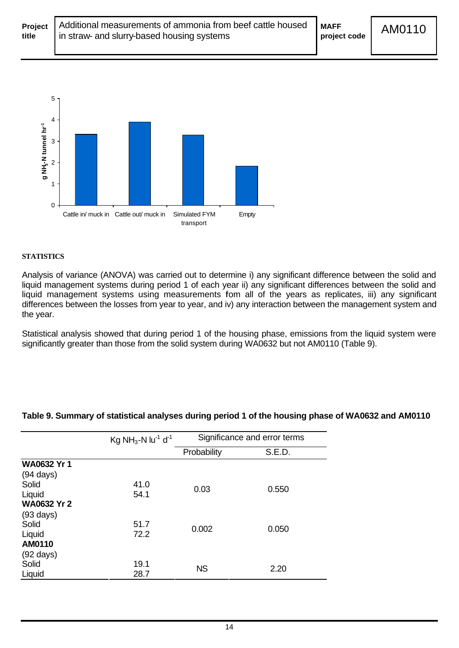

#### **STATISTICS**

Analysis of variance (ANOVA) was carried out to determine i) any significant difference between the solid and liquid management systems during period 1 of each year ii) any significant differences between the solid and liquid management systems using measurements fom all of the years as replicates, iii) any significant differences between the losses from year to year, and iv) any interaction between the management system and the year.

Statistical analysis showed that during period 1 of the housing phase, emissions from the liquid system were significantly greater than those from the solid system during WA0632 but not AM0110 (Table 9).

|                     | Kg NH <sub>3</sub> -N lu <sup>-1</sup> d <sup>-1</sup> | Significance and error terms |        |  |
|---------------------|--------------------------------------------------------|------------------------------|--------|--|
|                     |                                                        | Probability                  | S.E.D. |  |
| <b>WA0632 Yr 1</b>  |                                                        |                              |        |  |
| $(94 \text{ days})$ |                                                        |                              |        |  |
| Solid               | 41.0                                                   | 0.03                         | 0.550  |  |
| Liquid              | 54.1                                                   |                              |        |  |
| <b>WA0632 Yr 2</b>  |                                                        |                              |        |  |
| $(93 \text{ days})$ |                                                        |                              |        |  |
| Solid               | 51.7                                                   | 0.002                        | 0.050  |  |
| Liquid              | 72.2                                                   |                              |        |  |
| AM0110              |                                                        |                              |        |  |
| $(92 \text{ days})$ |                                                        |                              |        |  |
| Solid               | 19.1                                                   | <b>NS</b>                    | 2.20   |  |
| Liquid              | 28.7                                                   |                              |        |  |

#### **Table 9. Summary of statistical analyses during period 1 of the housing phase of WA0632 and AM0110**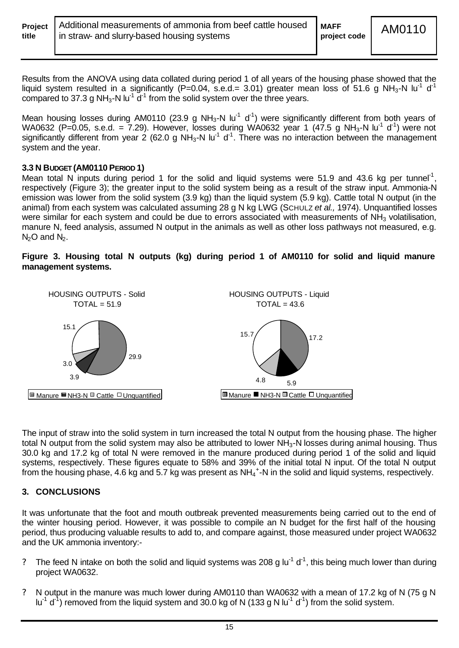| Project |  |
|---------|--|
| title   |  |

Results from the ANOVA using data collated during period 1 of all years of the housing phase showed that the liquid system resulted in a significantly (P=0.04, s.e.d.= 3.01) greater mean loss of 51.6 g NH<sub>3</sub>-N lu<sup>-1</sup> d<sup>-1</sup> compared to 37.3 g NH<sub>3</sub>-N lu<sup>-1</sup>  $d^{-1}$  from the solid system over the three years.

Mean housing losses during AM0110 (23.9 g NH<sub>3</sub>-N lu<sup>-1</sup> d<sup>-1</sup>) were significantly different from both years of WA0632 (P=0.05, s.e.d. = 7.29). However, losses during WA0632 year 1 (47.5 g NH<sub>3</sub>-N lu<sup>-1</sup> d<sup>-1</sup>) were not significantly different from year 2 (62.0 g NH<sub>3</sub>-N lu<sup>-1</sup> d<sup>-1</sup>. There was no interaction between the management system and the year.

#### **3.3 N BUDGET (AM0110 PERIOD 1)**

Mean total N inputs during period 1 for the solid and liquid systems were 51.9 and 43.6 kg per tunnel<sup>-1</sup>, respectively (Figure 3); the greater input to the solid system being as a result of the straw input. Ammonia-N emission was lower from the solid system (3.9 kg) than the liquid system (5.9 kg). Cattle total N output (in the animal) from each system was calculated assuming 28 g N kg LWG (SCHULZ *et al.,* 1974). Unquantified losses were similar for each system and could be due to errors associated with measurements of NH<sub>3</sub> volatilisation, manure N, feed analysis, assumed N output in the animals as well as other loss pathways not measured, e.g.  $N<sub>2</sub>O$  and  $N<sub>2</sub>$ .

#### **Figure 3. Housing total N outputs (kg) during period 1 of AM0110 for solid and liquid manure management systems.**



The input of straw into the solid system in turn increased the total N output from the housing phase. The higher total N output from the solid system may also be attributed to lower  $NH<sub>3</sub>$ -N losses during animal housing. Thus 30.0 kg and 17.2 kg of total N were removed in the manure produced during period 1 of the solid and liquid systems, respectively. These figures equate to 58% and 39% of the initial total N input. Of the total N output from the housing phase, 4.6 kg and 5.7 kg was present as NH $_4$ <sup>+</sup>-N in the solid and liquid systems, respectively.

# **3. CONCLUSIONS**

It was unfortunate that the foot and mouth outbreak prevented measurements being carried out to the end of the winter housing period. However, it was possible to compile an N budget for the first half of the housing period, thus producing valuable results to add to, and compare against, those measured under project WA0632 and the UK ammonia inventory:-

- ? The feed N intake on both the solid and liquid systems was 208 g lu<sup>-1</sup> d<sup>-1</sup>, this being much lower than during project WA0632.
- ? N output in the manure was much lower during AM0110 than WA0632 with a mean of 17.2 kg of N (75 g N lu<sup>-1</sup> d<sup>-1</sup>) removed from the liquid system and 30.0 kg of N (133 g N lu<sup>-1</sup> d<sup>-1</sup>) from the solid system.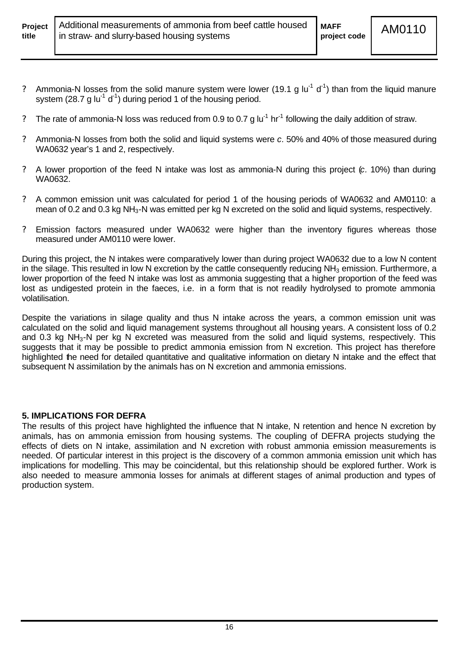- ? Ammonia-N losses from the solid manure system were lower (19.1 g lu<sup>-1</sup> d<sup>-1</sup>) than from the liquid manure system (28.7 g lu<sup>-1</sup> d<sup>-1</sup>) during period 1 of the housing period.
- ? The rate of ammonia-N loss was reduced from 0.9 to 0.7 g  $|u^{-1}$  hr<sup>-1</sup> following the daily addition of straw.
- ? Ammonia-N losses from both the solid and liquid systems were *c.* 50% and 40% of those measured during WA0632 year's 1 and 2, respectively.
- ? A lower proportion of the feed N intake was lost as ammonia-N during this project (*c.* 10%) than during WA0632.
- ? A common emission unit was calculated for period 1 of the housing periods of WA0632 and AM0110: a mean of 0.2 and 0.3 kg NH<sub>3</sub>-N was emitted per kg N excreted on the solid and liquid systems, respectively.
- ? Emission factors measured under WA0632 were higher than the inventory figures whereas those measured under AM0110 were lower.

During this project, the N intakes were comparatively lower than during project WA0632 due to a low N content in the silage. This resulted in low N excretion by the cattle consequently reducing  $NH_3$  emission. Furthermore, a lower proportion of the feed N intake was lost as ammonia suggesting that a higher proportion of the feed was lost as undigested protein in the faeces, i.e. in a form that is not readily hydrolysed to promote ammonia volatilisation.

Despite the variations in silage quality and thus N intake across the years, a common emission unit was calculated on the solid and liquid management systems throughout all housing years. A consistent loss of 0.2 and 0.3 kg NH<sub>3</sub>-N per kg N excreted was measured from the solid and liquid systems, respectively. This suggests that it may be possible to predict ammonia emission from N excretion. This project has therefore highlighted the need for detailed quantitative and qualitative information on dietary N intake and the effect that subsequent N assimilation by the animals has on N excretion and ammonia emissions.

# **5. IMPLICATIONS FOR DEFRA**

The results of this project have highlighted the influence that N intake, N retention and hence N excretion by animals, has on ammonia emission from housing systems. The coupling of DEFRA projects studying the effects of diets on N intake, assimilation and N excretion with robust ammonia emission measurements is needed. Of particular interest in this project is the discovery of a common ammonia emission unit which has implications for modelling. This may be coincidental, but this relationship should be explored further. Work is also needed to measure ammonia losses for animals at different stages of animal production and types of production system.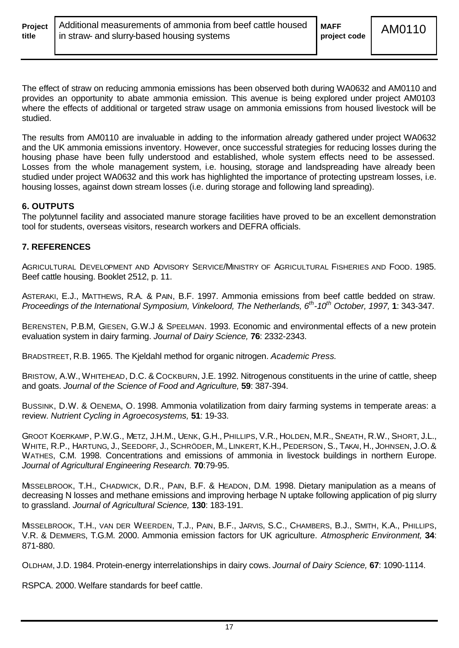The effect of straw on reducing ammonia emissions has been observed both during WA0632 and AM0110 and provides an opportunity to abate ammonia emission. This avenue is being explored under project AM0103 where the effects of additional or targeted straw usage on ammonia emissions from housed livestock will be studied.

The results from AM0110 are invaluable in adding to the information already gathered under project WA0632 and the UK ammonia emissions inventory. However, once successful strategies for reducing losses during the housing phase have been fully understood and established, whole system effects need to be assessed. Losses from the whole management system, i.e. housing, storage and landspreading have already been studied under project WA0632 and this work has highlighted the importance of protecting upstream losses, i.e. housing losses, against down stream losses (i.e. during storage and following land spreading).

## **6. OUTPUTS**

The polytunnel facility and associated manure storage facilities have proved to be an excellent demonstration tool for students, overseas visitors, research workers and DEFRA officials.

#### **7. REFERENCES**

AGRICULTURAL DEVELOPMENT AND ADVISORY SERVICE/MINISTRY OF AGRICULTURAL FISHERIES AND FOOD. 1985. Beef cattle housing. Booklet 2512, p. 11.

ASTERAKI, E.J., MATTHEWS, R.A. & PAIN, B.F. 1997. Ammonia emissions from beef cattle bedded on straw. *Proceedings of the International Symposium, Vinkeloord, The Netherlands, 6th -10th October, 1997,* **1**: 343-347.

BERENSTEN, P.B.M, GIESEN, G.W.J & SPEELMAN. 1993. Economic and environmental effects of a new protein evaluation system in dairy farming. *Journal of Dairy Science,* **76**: 2332-2343.

BRADSTREET, R.B. 1965. The Kjeldahl method for organic nitrogen. *Academic Press.*

BRISTOW, A.W., WHITEHEAD, D.C. & COCKBURN, J.E. 1992. Nitrogenous constituents in the urine of cattle, sheep and goats. *Journal of the Science of Food and Agriculture,* **59**: 387-394.

BUSSINK, D.W. & OENEMA, O. 1998. Ammonia volatilization from dairy farming systems in temperate areas: a review. *Nutrient Cycling in Agroecosystems,* **51**: 19-33.

GROOT KOERKAMP, P.W.G., METZ, J.H.M., UENK, G.H., PHILLIPS, V.R., HOLDEN, M.R., SNEATH, R.W., SHORT, J.L., WHITE, R.P., HARTUNG, J., SEEDORF, J., SCHRÖDER, M., LINKERT, K.H., PEDERSON, S., TAKAI, H., JOHNSEN, J.O.& WATHES, C.M. 1998. Concentrations and emissions of ammonia in livestock buildings in northern Europe. *Journal of Agricultural Engineering Research.* **70**:79-95.

MISSELBROOK, T.H., CHADWICK, D.R., PAIN, B.F. & HEADON, D.M. 1998. Dietary manipulation as a means of decreasing N losses and methane emissions and improving herbage N uptake following application of pig slurry to grassland. *Journal of Agricultural Science,* **130**: 183-191.

MISSELBROOK, T.H., VAN DER WEERDEN, T.J., PAIN, B.F., JARVIS, S.C., CHAMBERS, B.J., SMITH, K.A., PHILLIPS, V.R. & DEMMERS, T.G.M. 2000. Ammonia emission factors for UK agriculture. *Atmospheric Environment,* **34**: 871-880.

OLDHAM, J.D. 1984. Protein-energy interrelationships in dairy cows. *Journal of Dairy Science,* **67**: 1090-1114.

RSPCA. 2000. Welfare standards for beef cattle.